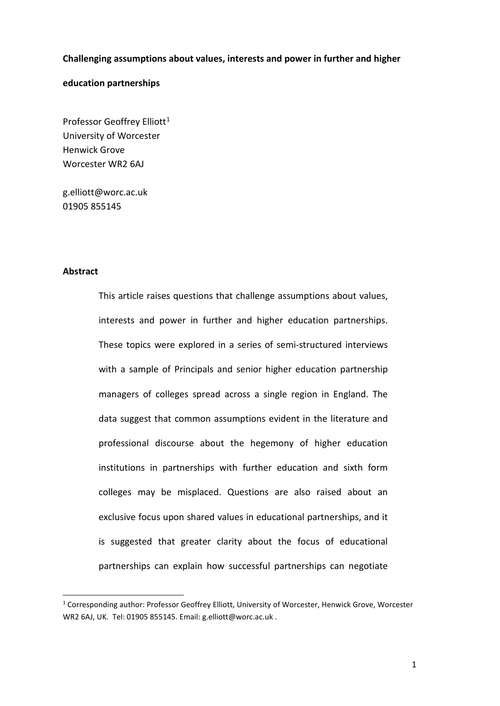#### **Challenging assumptions about values, interests and power in further and higher**

#### **education partnerships**

Professor Geoffrey Elliott<sup>[1](#page-0-0)</sup> University of Worcester Henwick Grove Worcester WR2 6AJ

[g.elliott@worc.ac.uk](mailto:g.elliott@worc.ac.uk) 01905 855145

#### **Abstract**

This article raises questions that challenge assumptions about values, interests and power in further and higher education partnerships. These topics were explored in a series of semi-structured interviews with a sample of Principals and senior higher education partnership managers of colleges spread across a single region in England. The data suggest that common assumptions evident in the literature and professional discourse about the hegemony of higher education institutions in partnerships with further education and sixth form colleges may be misplaced. Questions are also raised about an exclusive focus upon shared values in educational partnerships, and it is suggested that greater clarity about the focus of educational partnerships can explain how successful partnerships can negotiate

<span id="page-0-0"></span> <sup>1</sup> Corresponding author: Professor Geoffrey Elliott, University of Worcester, Henwick Grove, Worcester WR2 6AJ, UK. Tel: 01905 855145. Email: [g.elliott@worc.ac.uk](mailto:g.elliott@worc.ac.uk) .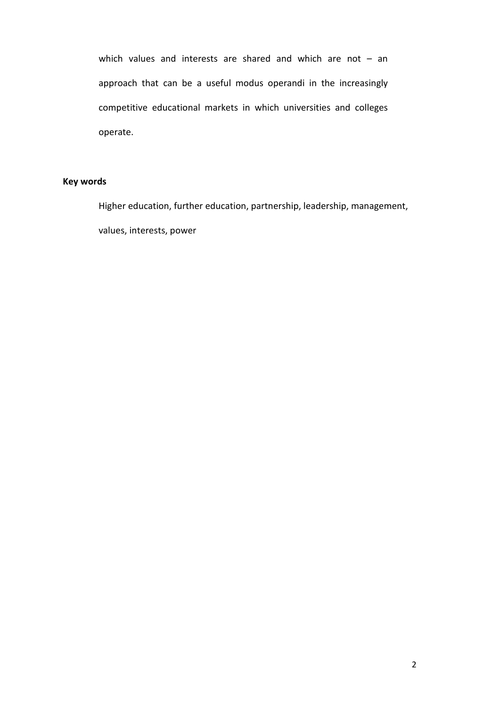which values and interests are shared and which are not – an approach that can be a useful modus operandi in the increasingly competitive educational markets in which universities and colleges operate.

# **Key words**

Higher education, further education, partnership, leadership, management, values, interests, power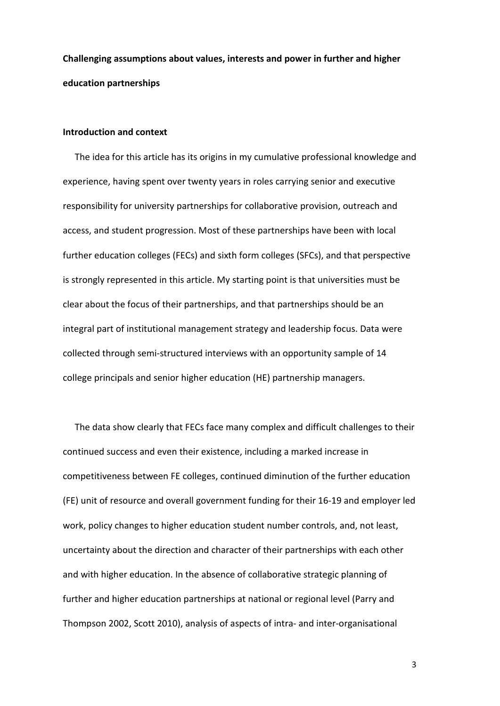**Challenging assumptions about values, interests and power in further and higher education partnerships**

## **Introduction and context**

The idea for this article has its origins in my cumulative professional knowledge and experience, having spent over twenty years in roles carrying senior and executive responsibility for university partnerships for collaborative provision, outreach and access, and student progression. Most of these partnerships have been with local further education colleges (FECs) and sixth form colleges (SFCs), and that perspective is strongly represented in this article. My starting point is that universities must be clear about the focus of their partnerships, and that partnerships should be an integral part of institutional management strategy and leadership focus. Data were collected through semi-structured interviews with an opportunity sample of 14 college principals and senior higher education (HE) partnership managers.

The data show clearly that FECs face many complex and difficult challenges to their continued success and even their existence, including a marked increase in competitiveness between FE colleges, continued diminution of the further education (FE) unit of resource and overall government funding for their 16-19 and employer led work, policy changes to higher education student number controls, and, not least, uncertainty about the direction and character of their partnerships with each other and with higher education. In the absence of collaborative strategic planning of further and higher education partnerships at national or regional level (Parry and Thompson 2002, Scott 2010), analysis of aspects of intra- and inter-organisational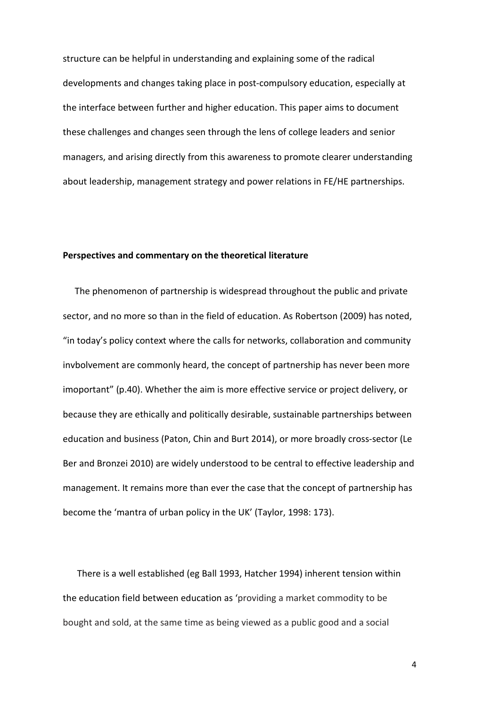structure can be helpful in understanding and explaining some of the radical developments and changes taking place in post-compulsory education, especially at the interface between further and higher education. This paper aims to document these challenges and changes seen through the lens of college leaders and senior managers, and arising directly from this awareness to promote clearer understanding about leadership, management strategy and power relations in FE/HE partnerships.

#### **Perspectives and commentary on the theoretical literature**

The phenomenon of partnership is widespread throughout the public and private sector, and no more so than in the field of education. As Robertson (2009) has noted, "in today's policy context where the calls for networks, collaboration and community invbolvement are commonly heard, the concept of partnership has never been more imoportant" (p.40). Whether the aim is more effective service or project delivery, or because they are ethically and politically desirable, sustainable partnerships between education and business (Paton, Chin and Burt 2014), or more broadly cross-sector (Le Ber and Bronzei 2010) are widely understood to be central to effective leadership and management. It remains more than ever the case that the concept of partnership has become the 'mantra of urban policy in the UK' (Taylor, 1998: 173).

There is a well established (eg Ball 1993, Hatcher 1994) inherent tension within the education field between education as 'providing a market commodity to be bought and sold, at the same time as being viewed as a public good and a social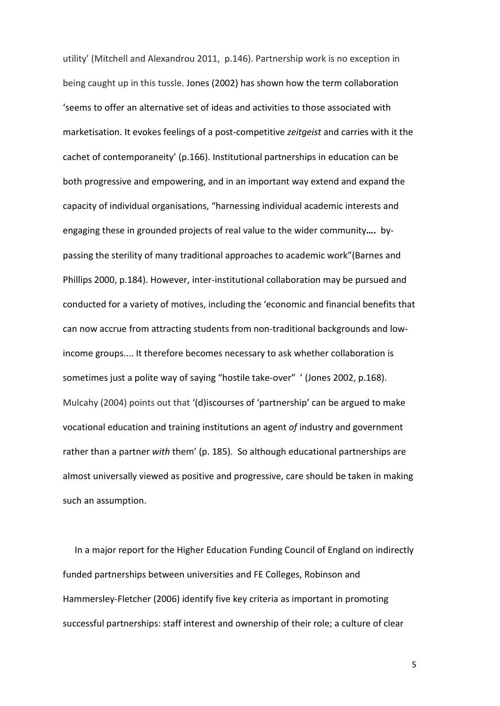utility' (Mitchell and Alexandrou 2011, p.146). Partnership work is no exception in being caught up in this tussle. Jones (2002) has shown how the term collaboration 'seems to offer an alternative set of ideas and activities to those associated with marketisation. It evokes feelings of a post-competitive *zeitgeist* and carries with it the cachet of contemporaneity' (p.166). Institutional partnerships in education can be both progressive and empowering, and in an important way extend and expand the capacity of individual organisations, "harnessing individual academic interests and engaging these in grounded projects of real value to the wider community**….** bypassing the sterility of many traditional approaches to academic work"(Barnes and Phillips 2000, p.184). However, inter-institutional collaboration may be pursued and conducted for a variety of motives, including the 'economic and financial benefits that can now accrue from attracting students from non-traditional backgrounds and lowincome groups.... It therefore becomes necessary to ask whether collaboration is sometimes just a polite way of saying "hostile take-over" ' (Jones 2002, p.168). Mulcahy (2004) points out that '(d)iscourses of 'partnership' can be argued to make vocational education and training institutions an agent *of* industry and government rather than a partner *with* them' (p. 185). So although educational partnerships are almost universally viewed as positive and progressive, care should be taken in making such an assumption.

In a major report for the Higher Education Funding Council of England on indirectly funded partnerships between universities and FE Colleges, Robinson and Hammersley-Fletcher (2006) identify five key criteria as important in promoting successful partnerships: staff interest and ownership of their role; a culture of clear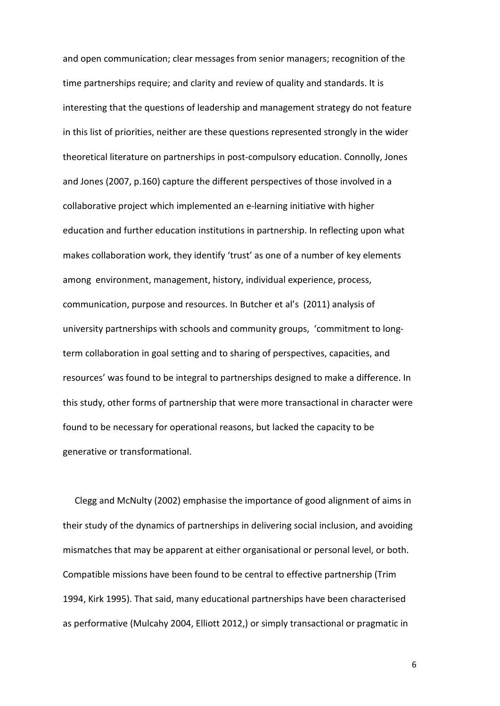and open communication; clear messages from senior managers; recognition of the time partnerships require; and clarity and review of quality and standards. It is interesting that the questions of leadership and management strategy do not feature in this list of priorities, neither are these questions represented strongly in the wider theoretical literature on partnerships in post-compulsory education. Connolly, Jones and Jones (2007, p.160) capture the different perspectives of those involved in a collaborative project which implemented an e-learning initiative with higher education and further education institutions in partnership. In reflecting upon what makes collaboration work, they identify 'trust' as one of a number of key elements among environment, management, history, individual experience, process, communication, purpose and resources. In Butcher et al's (2011) analysis of university partnerships with schools and community groups, 'commitment to longterm collaboration in goal setting and to sharing of perspectives, capacities, and resources' was found to be integral to partnerships designed to make a difference. In this study, other forms of partnership that were more transactional in character were found to be necessary for operational reasons, but lacked the capacity to be generative or transformational.

Clegg and McNulty (2002) emphasise the importance of good alignment of aims in their study of the dynamics of partnerships in delivering social inclusion, and avoiding mismatches that may be apparent at either organisational or personal level, or both. Compatible missions have been found to be central to effective partnership (Trim 1994, Kirk 1995). That said, many educational partnerships have been characterised as performative (Mulcahy 2004, Elliott 2012,) or simply transactional or pragmatic in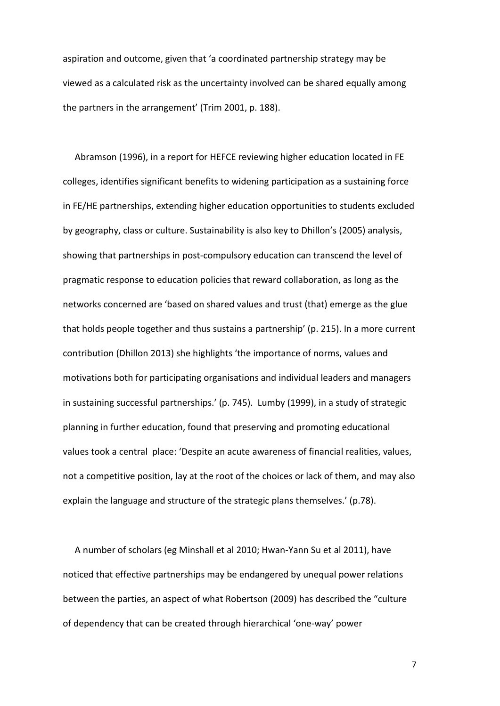aspiration and outcome, given that 'a coordinated partnership strategy may be viewed as a calculated risk as the uncertainty involved can be shared equally among the partners in the arrangement' (Trim 2001, p. 188).

Abramson (1996), in a report for HEFCE reviewing higher education located in FE colleges, identifies significant benefits to widening participation as a sustaining force in FE/HE partnerships, extending higher education opportunities to students excluded by geography, class or culture. Sustainability is also key to Dhillon's (2005) analysis, showing that partnerships in post-compulsory education can transcend the level of pragmatic response to education policies that reward collaboration, as long as the networks concerned are 'based on shared values and trust (that) emerge as the glue that holds people together and thus sustains a partnership' (p. 215). In a more current contribution (Dhillon 2013) she highlights 'the importance of norms, values and motivations both for participating organisations and individual leaders and managers in sustaining successful partnerships.' (p. 745). Lumby (1999), in a study of strategic planning in further education, found that preserving and promoting educational values took a central place: 'Despite an acute awareness of financial realities, values, not a competitive position, lay at the root of the choices or lack of them, and may also explain the language and structure of the strategic plans themselves.' (p.78).

A number of scholars (eg Minshall et al 2010; Hwan-Yann Su et al 2011), have noticed that effective partnerships may be endangered by unequal power relations between the parties, an aspect of what Robertson (2009) has described the "culture of dependency that can be created through hierarchical 'one-way' power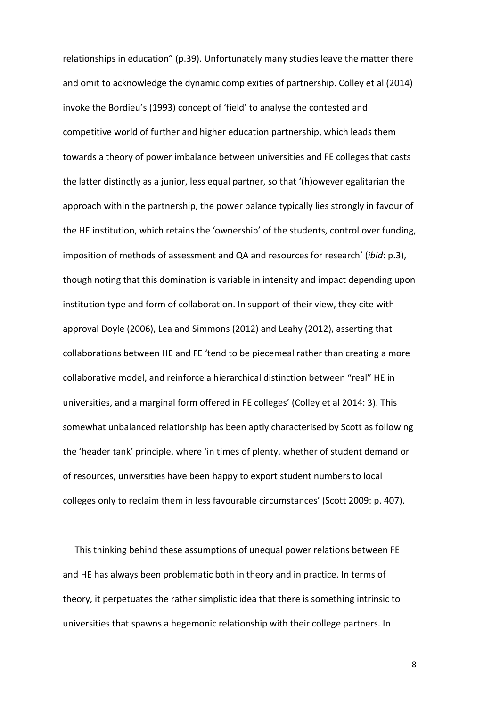relationships in education" (p.39). Unfortunately many studies leave the matter there and omit to acknowledge the dynamic complexities of partnership. Colley et al (2014) invoke the Bordieu's (1993) concept of 'field' to analyse the contested and competitive world of further and higher education partnership, which leads them towards a theory of power imbalance between universities and FE colleges that casts the latter distinctly as a junior, less equal partner, so that '(h)owever egalitarian the approach within the partnership, the power balance typically lies strongly in favour of the HE institution, which retains the 'ownership' of the students, control over funding, imposition of methods of assessment and QA and resources for research' (*ibid*: p.3), though noting that this domination is variable in intensity and impact depending upon institution type and form of collaboration. In support of their view, they cite with approval Doyle (2006), Lea and Simmons (2012) and Leahy (2012), asserting that collaborations between HE and FE 'tend to be piecemeal rather than creating a more collaborative model, and reinforce a hierarchical distinction between "real" HE in universities, and a marginal form offered in FE colleges' (Colley et al 2014: 3). This somewhat unbalanced relationship has been aptly characterised by Scott as following the 'header tank' principle, where 'in times of plenty, whether of student demand or of resources, universities have been happy to export student numbers to local colleges only to reclaim them in less favourable circumstances' (Scott 2009: p. 407).

This thinking behind these assumptions of unequal power relations between FE and HE has always been problematic both in theory and in practice. In terms of theory, it perpetuates the rather simplistic idea that there is something intrinsic to universities that spawns a hegemonic relationship with their college partners. In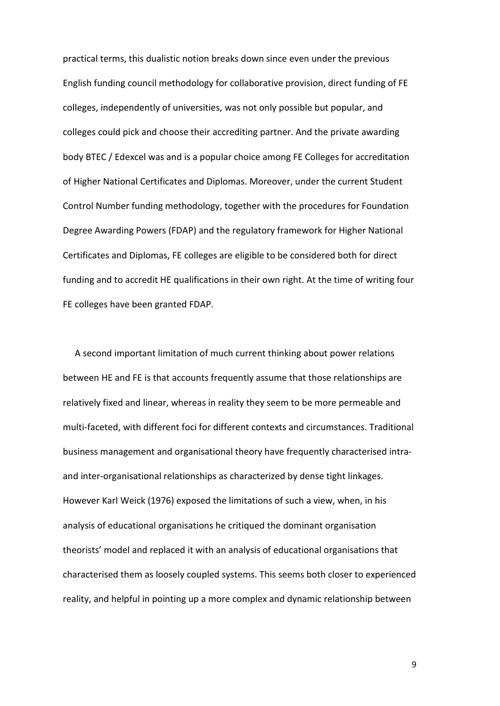practical terms, this dualistic notion breaks down since even under the previous English funding council methodology for collaborative provision, direct funding of FE colleges, independently of universities, was not only possible but popular, and colleges could pick and choose their accrediting partner. And the private awarding body BTEC / Edexcel was and is a popular choice among FE Colleges for accreditation of Higher National Certificates and Diplomas. Moreover, under the current Student Control Number funding methodology, together with the procedures for Foundation Degree Awarding Powers (FDAP) and the regulatory framework for Higher National Certificates and Diplomas, FE colleges are eligible to be considered both for direct funding and to accredit HE qualifications in their own right. At the time of writing four FE colleges have been granted FDAP.

A second important limitation of much current thinking about power relations between HE and FE is that accounts frequently assume that those relationships are relatively fixed and linear, whereas in reality they seem to be more permeable and multi-faceted, with different foci for different contexts and circumstances. Traditional business management and organisational theory have frequently characterised intraand inter-organisational relationships as characterized by dense tight linkages. However Karl Weick (1976) exposed the limitations of such a view, when, in his analysis of educational organisations he critiqued the dominant organisation theorists' model and replaced it with an analysis of educational organisations that characterised them as loosely coupled systems. This seems both closer to experienced reality, and helpful in pointing up a more complex and dynamic relationship between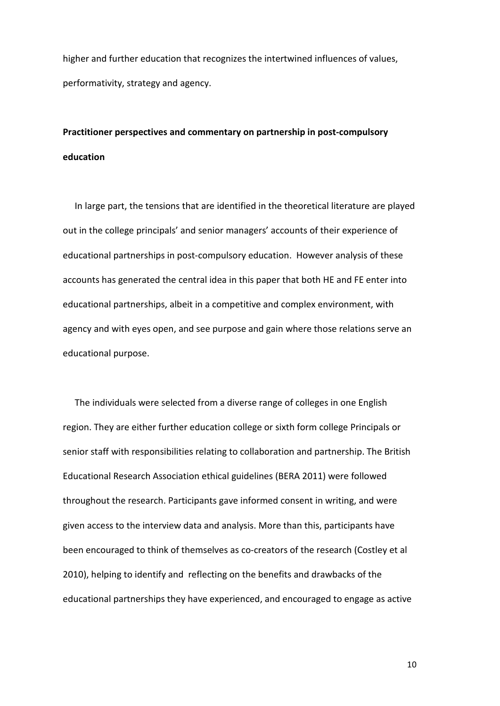higher and further education that recognizes the intertwined influences of values, performativity, strategy and agency.

# **Practitioner perspectives and commentary on partnership in post-compulsory education**

In large part, the tensions that are identified in the theoretical literature are played out in the college principals' and senior managers' accounts of their experience of educational partnerships in post-compulsory education. However analysis of these accounts has generated the central idea in this paper that both HE and FE enter into educational partnerships, albeit in a competitive and complex environment, with agency and with eyes open, and see purpose and gain where those relations serve an educational purpose.

The individuals were selected from a diverse range of colleges in one English region. They are either further education college or sixth form college Principals or senior staff with responsibilities relating to collaboration and partnership. The British Educational Research Association ethical guidelines (BERA 2011) were followed throughout the research. Participants gave informed consent in writing, and were given access to the interview data and analysis. More than this, participants have been encouraged to think of themselves as co-creators of the research (Costley et al 2010), helping to identify and reflecting on the benefits and drawbacks of the educational partnerships they have experienced, and encouraged to engage as active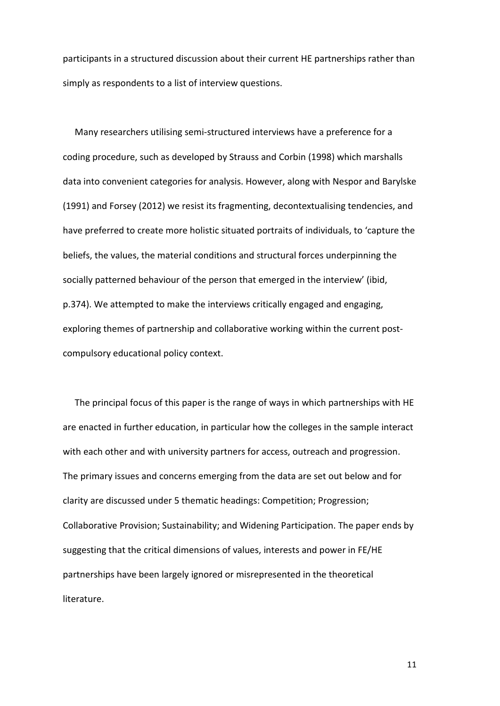participants in a structured discussion about their current HE partnerships rather than simply as respondents to a list of interview questions.

Many researchers utilising semi-structured interviews have a preference for a coding procedure, such as developed by Strauss and Corbin (1998) which marshalls data into convenient categories for analysis. However, along with Nespor and Barylske (1991) and Forsey (2012) we resist its fragmenting, decontextualising tendencies, and have preferred to create more holistic situated portraits of individuals, to 'capture the beliefs, the values, the material conditions and structural forces underpinning the socially patterned behaviour of the person that emerged in the interview' (ibid, p.374). We attempted to make the interviews critically engaged and engaging, exploring themes of partnership and collaborative working within the current postcompulsory educational policy context.

The principal focus of this paper is the range of ways in which partnerships with HE are enacted in further education, in particular how the colleges in the sample interact with each other and with university partners for access, outreach and progression. The primary issues and concerns emerging from the data are set out below and for clarity are discussed under 5 thematic headings: Competition; Progression; Collaborative Provision; Sustainability; and Widening Participation. The paper ends by suggesting that the critical dimensions of values, interests and power in FE/HE partnerships have been largely ignored or misrepresented in the theoretical literature.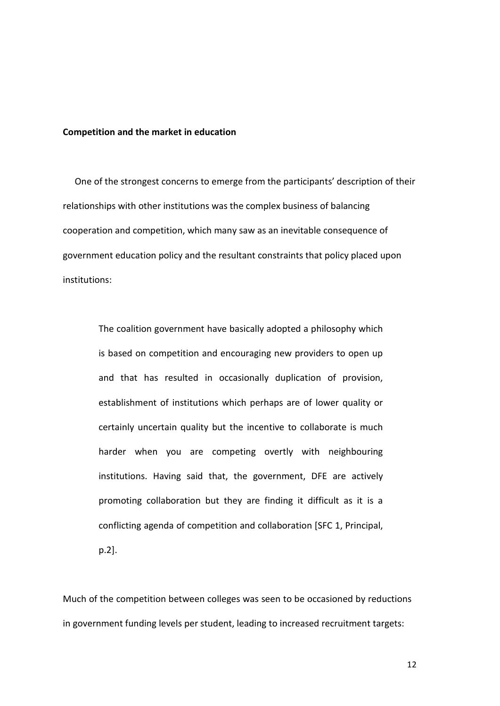#### **Competition and the market in education**

One of the strongest concerns to emerge from the participants' description of their relationships with other institutions was the complex business of balancing cooperation and competition, which many saw as an inevitable consequence of government education policy and the resultant constraints that policy placed upon institutions:

> The coalition government have basically adopted a philosophy which is based on competition and encouraging new providers to open up and that has resulted in occasionally duplication of provision, establishment of institutions which perhaps are of lower quality or certainly uncertain quality but the incentive to collaborate is much harder when you are competing overtly with neighbouring institutions. Having said that, the government, DFE are actively promoting collaboration but they are finding it difficult as it is a conflicting agenda of competition and collaboration [SFC 1, Principal, p.2].

Much of the competition between colleges was seen to be occasioned by reductions in government funding levels per student, leading to increased recruitment targets: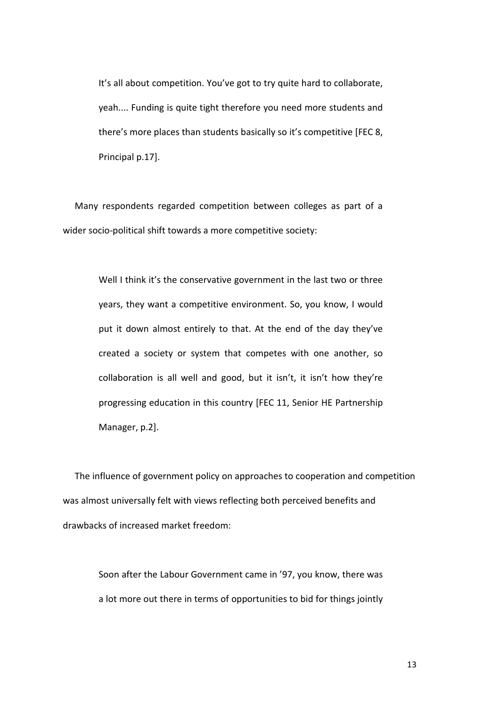It's all about competition. You've got to try quite hard to collaborate, yeah.... Funding is quite tight therefore you need more students and there's more places than students basically so it's competitive [FEC 8, Principal p.17].

Many respondents regarded competition between colleges as part of a wider socio-political shift towards a more competitive society:

> Well I think it's the conservative government in the last two or three years, they want a competitive environment. So, you know, I would put it down almost entirely to that. At the end of the day they've created a society or system that competes with one another, so collaboration is all well and good, but it isn't, it isn't how they're progressing education in this country [FEC 11, Senior HE Partnership Manager, p.2].

The influence of government policy on approaches to cooperation and competition was almost universally felt with views reflecting both perceived benefits and drawbacks of increased market freedom:

> Soon after the Labour Government came in '97, you know, there was a lot more out there in terms of opportunities to bid for things jointly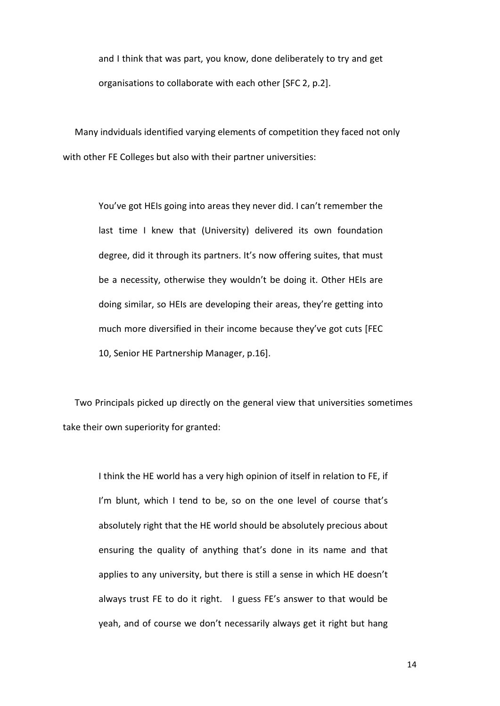and I think that was part, you know, done deliberately to try and get organisations to collaborate with each other [SFC 2, p.2].

Many indviduals identified varying elements of competition they faced not only with other FE Colleges but also with their partner universities:

> You've got HEIs going into areas they never did. I can't remember the last time I knew that (University) delivered its own foundation degree, did it through its partners. It's now offering suites, that must be a necessity, otherwise they wouldn't be doing it. Other HEIs are doing similar, so HEIs are developing their areas, they're getting into much more diversified in their income because they've got cuts [FEC 10, Senior HE Partnership Manager, p.16].

Two Principals picked up directly on the general view that universities sometimes take their own superiority for granted:

> I think the HE world has a very high opinion of itself in relation to FE, if I'm blunt, which I tend to be, so on the one level of course that's absolutely right that the HE world should be absolutely precious about ensuring the quality of anything that's done in its name and that applies to any university, but there is still a sense in which HE doesn't always trust FE to do it right. I guess FE's answer to that would be yeah, and of course we don't necessarily always get it right but hang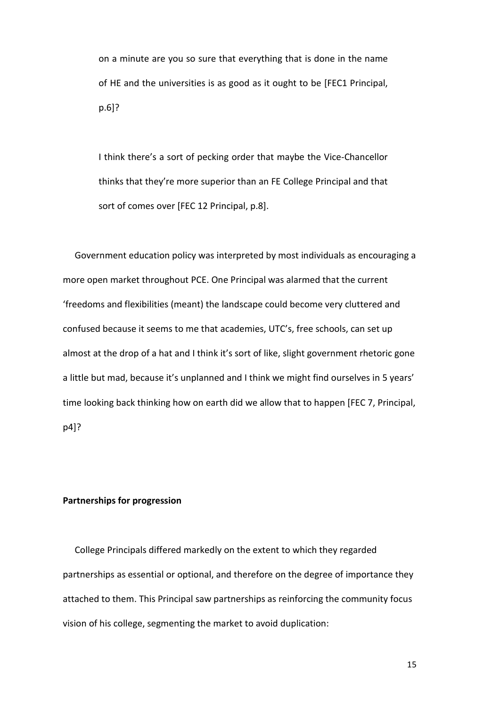on a minute are you so sure that everything that is done in the name of HE and the universities is as good as it ought to be [FEC1 Principal, p.6]?

I think there's a sort of pecking order that maybe the Vice-Chancellor thinks that they're more superior than an FE College Principal and that sort of comes over [FEC 12 Principal, p.8].

Government education policy was interpreted by most individuals as encouraging a more open market throughout PCE. One Principal was alarmed that the current 'freedoms and flexibilities (meant) the landscape could become very cluttered and confused because it seems to me that academies, UTC's, free schools, can set up almost at the drop of a hat and I think it's sort of like, slight government rhetoric gone a little but mad, because it's unplanned and I think we might find ourselves in 5 years' time looking back thinking how on earth did we allow that to happen [FEC 7, Principal, p4]?

# **Partnerships for progression**

College Principals differed markedly on the extent to which they regarded partnerships as essential or optional, and therefore on the degree of importance they attached to them. This Principal saw partnerships as reinforcing the community focus vision of his college, segmenting the market to avoid duplication: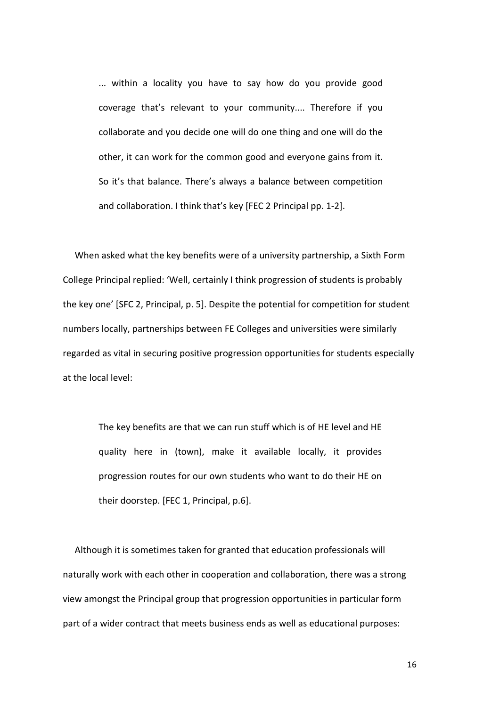... within a locality you have to say how do you provide good coverage that's relevant to your community.... Therefore if you collaborate and you decide one will do one thing and one will do the other, it can work for the common good and everyone gains from it. So it's that balance. There's always a balance between competition and collaboration. I think that's key [FEC 2 Principal pp. 1-2].

When asked what the key benefits were of a university partnership, a Sixth Form College Principal replied: 'Well, certainly I think progression of students is probably the key one' [SFC 2, Principal, p. 5]. Despite the potential for competition for student numbers locally, partnerships between FE Colleges and universities were similarly regarded as vital in securing positive progression opportunities for students especially at the local level:

> The key benefits are that we can run stuff which is of HE level and HE quality here in (town), make it available locally, it provides progression routes for our own students who want to do their HE on their doorstep. [FEC 1, Principal, p.6].

Although it is sometimes taken for granted that education professionals will naturally work with each other in cooperation and collaboration, there was a strong view amongst the Principal group that progression opportunities in particular form part of a wider contract that meets business ends as well as educational purposes: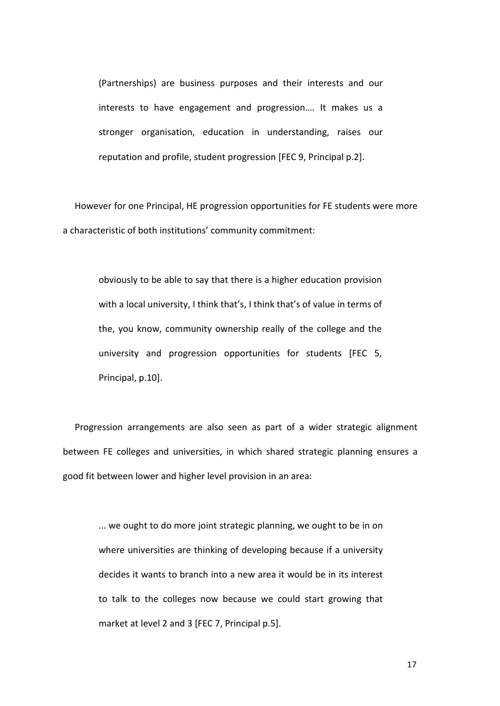(Partnerships) are business purposes and their interests and our interests to have engagement and progression…. It makes us a stronger organisation, education in understanding, raises our reputation and profile, student progression [FEC 9, Principal p.2].

However for one Principal, HE progression opportunities for FE students were more a characteristic of both institutions' community commitment:

obviously to be able to say that there is a higher education provision with a local university, I think that's, I think that's of value in terms of the, you know, community ownership really of the college and the university and progression opportunities for students [FEC 5, Principal, p.10].

Progression arrangements are also seen as part of a wider strategic alignment between FE colleges and universities, in which shared strategic planning ensures a good fit between lower and higher level provision in an area:

> ... we ought to do more joint strategic planning, we ought to be in on where universities are thinking of developing because if a university decides it wants to branch into a new area it would be in its interest to talk to the colleges now because we could start growing that market at level 2 and 3 [FEC 7, Principal p.5].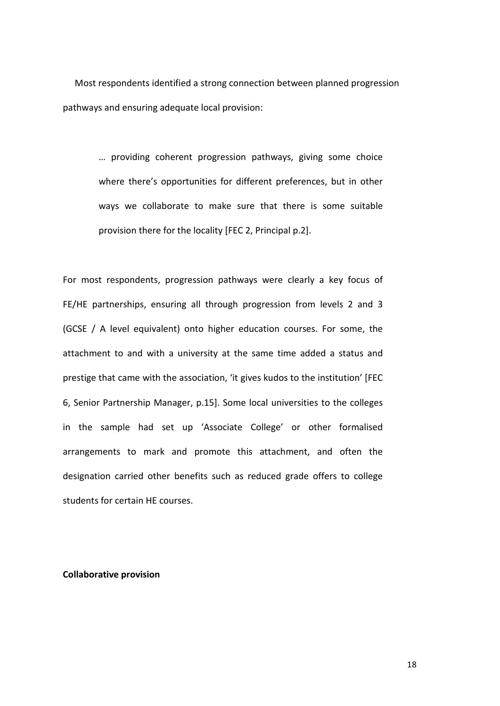Most respondents identified a strong connection between planned progression pathways and ensuring adequate local provision:

> … providing coherent progression pathways, giving some choice where there's opportunities for different preferences, but in other ways we collaborate to make sure that there is some suitable provision there for the locality [FEC 2, Principal p.2].

For most respondents, progression pathways were clearly a key focus of FE/HE partnerships, ensuring all through progression from levels 2 and 3 (GCSE / A level equivalent) onto higher education courses. For some, the attachment to and with a university at the same time added a status and prestige that came with the association, 'it gives kudos to the institution' [FEC 6, Senior Partnership Manager, p.15]. Some local universities to the colleges in the sample had set up 'Associate College' or other formalised arrangements to mark and promote this attachment, and often the designation carried other benefits such as reduced grade offers to college students for certain HE courses.

**Collaborative provision**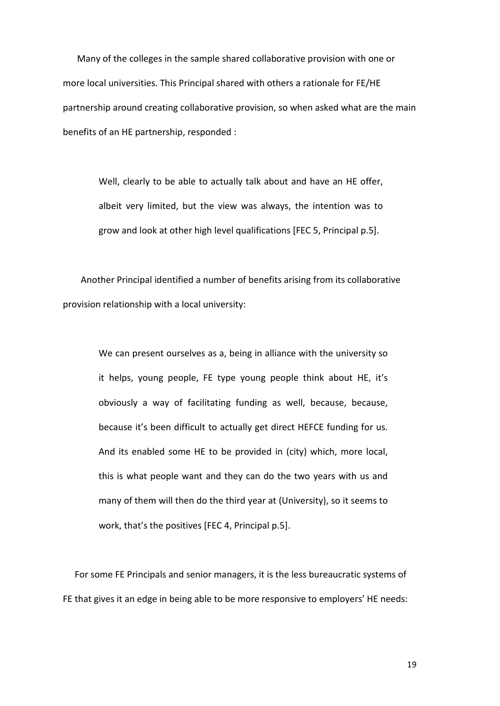Many of the colleges in the sample shared collaborative provision with one or more local universities. This Principal shared with others a rationale for FE/HE partnership around creating collaborative provision, so when asked what are the main benefits of an HE partnership, responded :

Well, clearly to be able to actually talk about and have an HE offer, albeit very limited, but the view was always, the intention was to grow and look at other high level qualifications [FEC 5, Principal p.5].

Another Principal identified a number of benefits arising from its collaborative provision relationship with a local university:

> We can present ourselves as a, being in alliance with the university so it helps, young people, FE type young people think about HE, it's obviously a way of facilitating funding as well, because, because, because it's been difficult to actually get direct HEFCE funding for us. And its enabled some HE to be provided in (city) which, more local, this is what people want and they can do the two years with us and many of them will then do the third year at (University), so it seems to work, that's the positives [FEC 4, Principal p.5].

For some FE Principals and senior managers, it is the less bureaucratic systems of FE that gives it an edge in being able to be more responsive to employers' HE needs: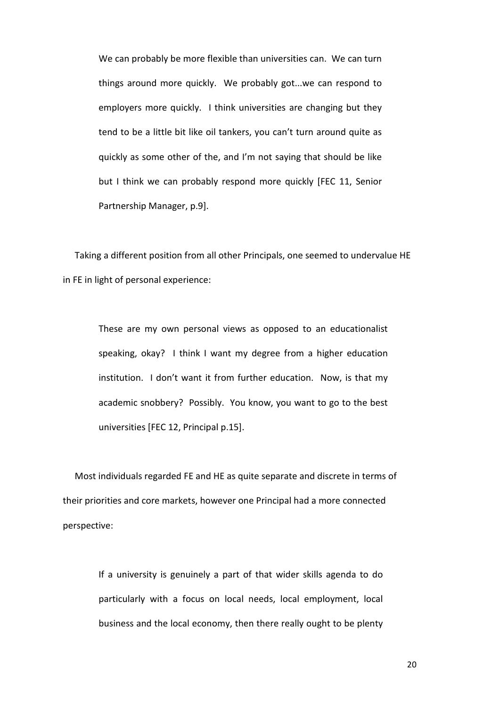We can probably be more flexible than universities can. We can turn things around more quickly. We probably got...we can respond to employers more quickly. I think universities are changing but they tend to be a little bit like oil tankers, you can't turn around quite as quickly as some other of the, and I'm not saying that should be like but I think we can probably respond more quickly [FEC 11, Senior Partnership Manager, p.9].

Taking a different position from all other Principals, one seemed to undervalue HE in FE in light of personal experience:

> These are my own personal views as opposed to an educationalist speaking, okay? I think I want my degree from a higher education institution. I don't want it from further education. Now, is that my academic snobbery? Possibly. You know, you want to go to the best universities [FEC 12, Principal p.15].

Most individuals regarded FE and HE as quite separate and discrete in terms of their priorities and core markets, however one Principal had a more connected perspective:

> If a university is genuinely a part of that wider skills agenda to do particularly with a focus on local needs, local employment, local business and the local economy, then there really ought to be plenty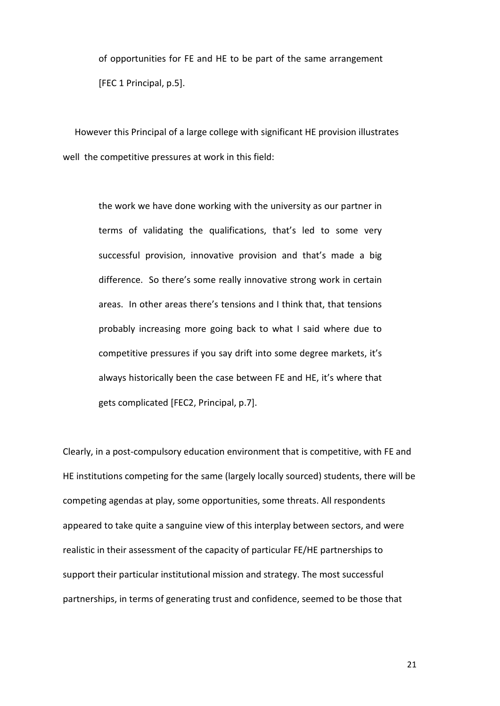of opportunities for FE and HE to be part of the same arrangement [FEC 1 Principal, p.5].

However this Principal of a large college with significant HE provision illustrates well the competitive pressures at work in this field:

> the work we have done working with the university as our partner in terms of validating the qualifications, that's led to some very successful provision, innovative provision and that's made a big difference. So there's some really innovative strong work in certain areas. In other areas there's tensions and I think that, that tensions probably increasing more going back to what I said where due to competitive pressures if you say drift into some degree markets, it's always historically been the case between FE and HE, it's where that gets complicated [FEC2, Principal, p.7].

Clearly, in a post-compulsory education environment that is competitive, with FE and HE institutions competing for the same (largely locally sourced) students, there will be competing agendas at play, some opportunities, some threats. All respondents appeared to take quite a sanguine view of this interplay between sectors, and were realistic in their assessment of the capacity of particular FE/HE partnerships to support their particular institutional mission and strategy. The most successful partnerships, in terms of generating trust and confidence, seemed to be those that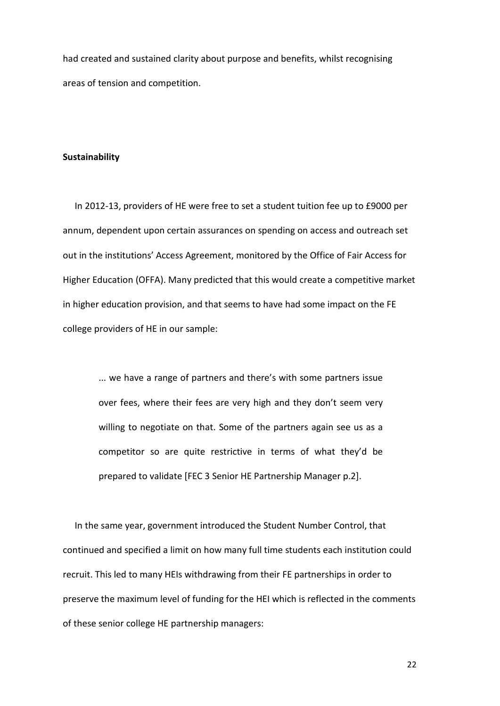had created and sustained clarity about purpose and benefits, whilst recognising areas of tension and competition.

#### **Sustainability**

In 2012-13, providers of HE were free to set a student tuition fee up to £9000 per annum, dependent upon certain assurances on spending on access and outreach set out in the institutions' Access Agreement, monitored by the Office of Fair Access for Higher Education (OFFA). Many predicted that this would create a competitive market in higher education provision, and that seems to have had some impact on the FE college providers of HE in our sample:

> ... we have a range of partners and there's with some partners issue over fees, where their fees are very high and they don't seem very willing to negotiate on that. Some of the partners again see us as a competitor so are quite restrictive in terms of what they'd be prepared to validate [FEC 3 Senior HE Partnership Manager p.2].

In the same year, government introduced the Student Number Control, that continued and specified a limit on how many full time students each institution could recruit. This led to many HEIs withdrawing from their FE partnerships in order to preserve the maximum level of funding for the HEI which is reflected in the comments of these senior college HE partnership managers: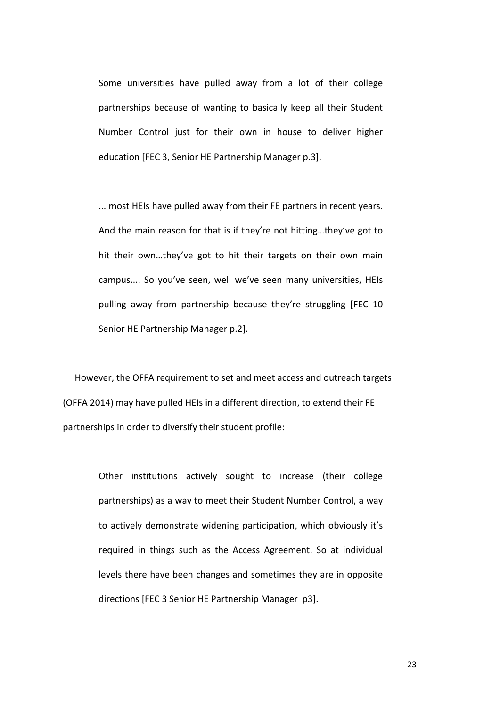Some universities have pulled away from a lot of their college partnerships because of wanting to basically keep all their Student Number Control just for their own in house to deliver higher education [FEC 3, Senior HE Partnership Manager p.3].

... most HEIs have pulled away from their FE partners in recent years. And the main reason for that is if they're not hitting…they've got to hit their own…they've got to hit their targets on their own main campus.... So you've seen, well we've seen many universities, HEIs pulling away from partnership because they're struggling [FEC 10 Senior HE Partnership Manager p.2].

However, the OFFA requirement to set and meet access and outreach targets (OFFA 2014) may have pulled HEIs in a different direction, to extend their FE partnerships in order to diversify their student profile:

> Other institutions actively sought to increase (their college partnerships) as a way to meet their Student Number Control, a way to actively demonstrate widening participation, which obviously it's required in things such as the Access Agreement. So at individual levels there have been changes and sometimes they are in opposite directions [FEC 3 Senior HE Partnership Manager p3].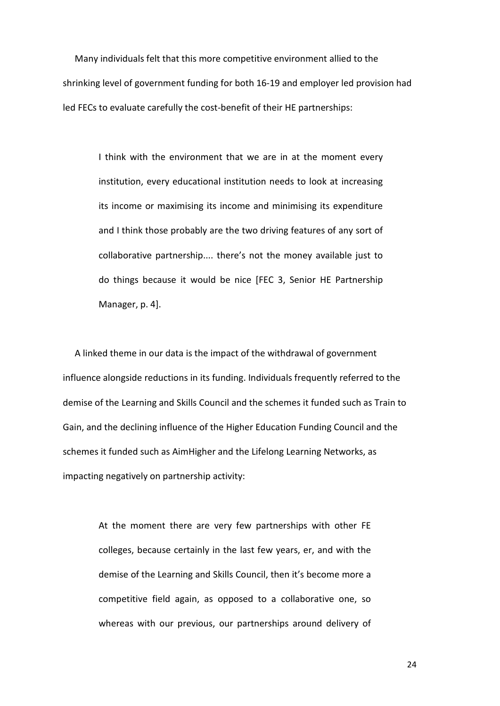Many individuals felt that this more competitive environment allied to the shrinking level of government funding for both 16-19 and employer led provision had led FECs to evaluate carefully the cost-benefit of their HE partnerships:

> I think with the environment that we are in at the moment every institution, every educational institution needs to look at increasing its income or maximising its income and minimising its expenditure and I think those probably are the two driving features of any sort of collaborative partnership.... there's not the money available just to do things because it would be nice [FEC 3, Senior HE Partnership Manager, p. 4].

A linked theme in our data is the impact of the withdrawal of government influence alongside reductions in its funding. Individuals frequently referred to the demise of the Learning and Skills Council and the schemes it funded such as Train to Gain, and the declining influence of the Higher Education Funding Council and the schemes it funded such as AimHigher and the Lifelong Learning Networks, as impacting negatively on partnership activity:

> At the moment there are very few partnerships with other FE colleges, because certainly in the last few years, er, and with the demise of the Learning and Skills Council, then it's become more a competitive field again, as opposed to a collaborative one, so whereas with our previous, our partnerships around delivery of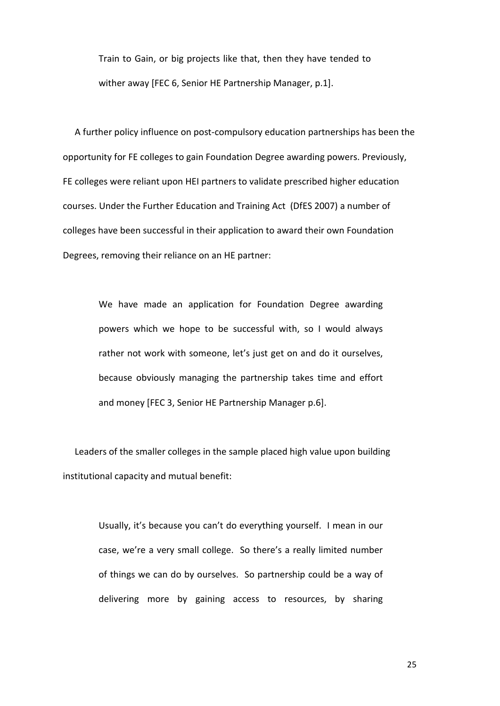Train to Gain, or big projects like that, then they have tended to wither away [FEC 6, Senior HE Partnership Manager, p.1].

A further policy influence on post-compulsory education partnerships has been the opportunity for FE colleges to gain Foundation Degree awarding powers. Previously, FE colleges were reliant upon HEI partners to validate prescribed higher education courses. Under the Further Education and Training Act (DfES 2007) a number of colleges have been successful in their application to award their own Foundation Degrees, removing their reliance on an HE partner:

> We have made an application for Foundation Degree awarding powers which we hope to be successful with, so I would always rather not work with someone, let's just get on and do it ourselves, because obviously managing the partnership takes time and effort and money [FEC 3, Senior HE Partnership Manager p.6].

Leaders of the smaller colleges in the sample placed high value upon building institutional capacity and mutual benefit:

> Usually, it's because you can't do everything yourself. I mean in our case, we're a very small college. So there's a really limited number of things we can do by ourselves. So partnership could be a way of delivering more by gaining access to resources, by sharing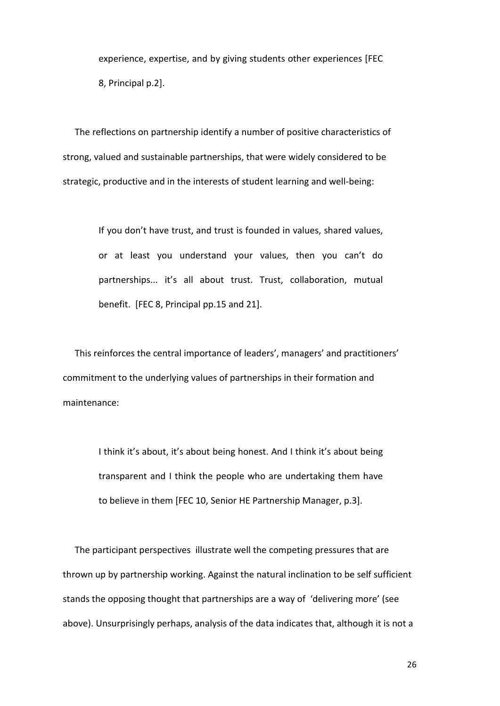experience, expertise, and by giving students other experiences [FEC 8, Principal p.2].

The reflections on partnership identify a number of positive characteristics of strong, valued and sustainable partnerships, that were widely considered to be strategic, productive and in the interests of student learning and well-being:

> If you don't have trust, and trust is founded in values, shared values, or at least you understand your values, then you can't do partnerships... it's all about trust. Trust, collaboration, mutual benefit. [FEC 8, Principal pp.15 and 21].

This reinforces the central importance of leaders', managers' and practitioners' commitment to the underlying values of partnerships in their formation and maintenance:

> I think it's about, it's about being honest. And I think it's about being transparent and I think the people who are undertaking them have to believe in them [FEC 10, Senior HE Partnership Manager, p.3].

The participant perspectives illustrate well the competing pressures that are thrown up by partnership working. Against the natural inclination to be self sufficient stands the opposing thought that partnerships are a way of 'delivering more' (see above). Unsurprisingly perhaps, analysis of the data indicates that, although it is not a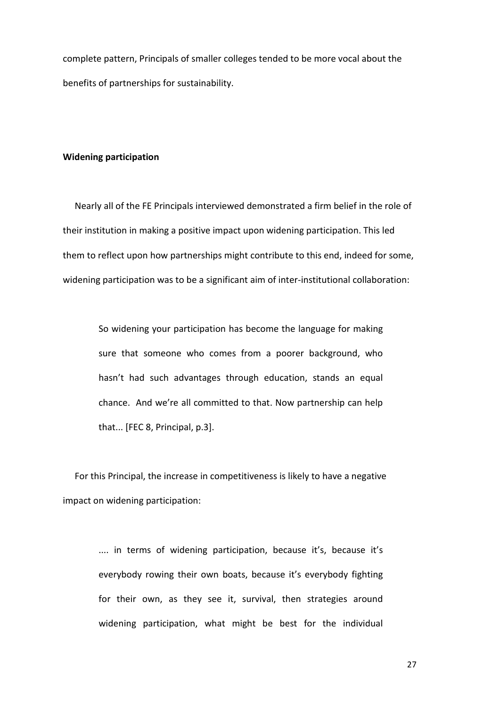complete pattern, Principals of smaller colleges tended to be more vocal about the benefits of partnerships for sustainability.

#### **Widening participation**

Nearly all of the FE Principals interviewed demonstrated a firm belief in the role of their institution in making a positive impact upon widening participation. This led them to reflect upon how partnerships might contribute to this end, indeed for some, widening participation was to be a significant aim of inter-institutional collaboration:

> So widening your participation has become the language for making sure that someone who comes from a poorer background, who hasn't had such advantages through education, stands an equal chance. And we're all committed to that. Now partnership can help that... [FEC 8, Principal, p.3].

For this Principal, the increase in competitiveness is likely to have a negative impact on widening participation:

> .... in terms of widening participation, because it's, because it's everybody rowing their own boats, because it's everybody fighting for their own, as they see it, survival, then strategies around widening participation, what might be best for the individual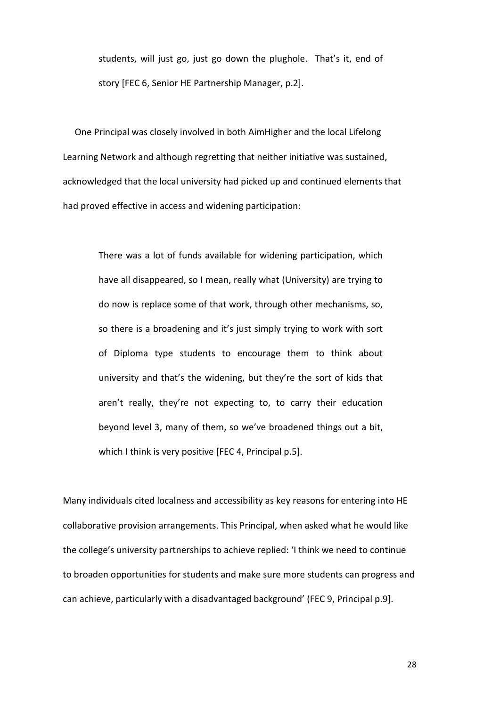students, will just go, just go down the plughole. That's it, end of story [FEC 6, Senior HE Partnership Manager, p.2].

One Principal was closely involved in both AimHigher and the local Lifelong Learning Network and although regretting that neither initiative was sustained, acknowledged that the local university had picked up and continued elements that had proved effective in access and widening participation:

> There was a lot of funds available for widening participation, which have all disappeared, so I mean, really what (University) are trying to do now is replace some of that work, through other mechanisms, so, so there is a broadening and it's just simply trying to work with sort of Diploma type students to encourage them to think about university and that's the widening, but they're the sort of kids that aren't really, they're not expecting to, to carry their education beyond level 3, many of them, so we've broadened things out a bit, which I think is very positive [FEC 4, Principal p.5].

Many individuals cited localness and accessibility as key reasons for entering into HE collaborative provision arrangements. This Principal, when asked what he would like the college's university partnerships to achieve replied: 'I think we need to continue to broaden opportunities for students and make sure more students can progress and can achieve, particularly with a disadvantaged background' (FEC 9, Principal p.9].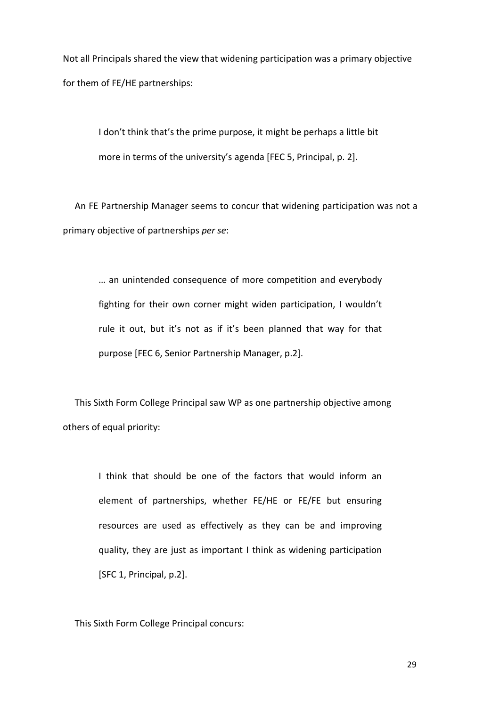Not all Principals shared the view that widening participation was a primary objective for them of FE/HE partnerships:

> I don't think that's the prime purpose, it might be perhaps a little bit more in terms of the university's agenda [FEC 5, Principal, p. 2].

An FE Partnership Manager seems to concur that widening participation was not a primary objective of partnerships *per se*:

> … an unintended consequence of more competition and everybody fighting for their own corner might widen participation, I wouldn't rule it out, but it's not as if it's been planned that way for that purpose [FEC 6, Senior Partnership Manager, p.2].

This Sixth Form College Principal saw WP as one partnership objective among others of equal priority:

> I think that should be one of the factors that would inform an element of partnerships, whether FE/HE or FE/FE but ensuring resources are used as effectively as they can be and improving quality, they are just as important I think as widening participation [SFC 1, Principal, p.2].

This Sixth Form College Principal concurs: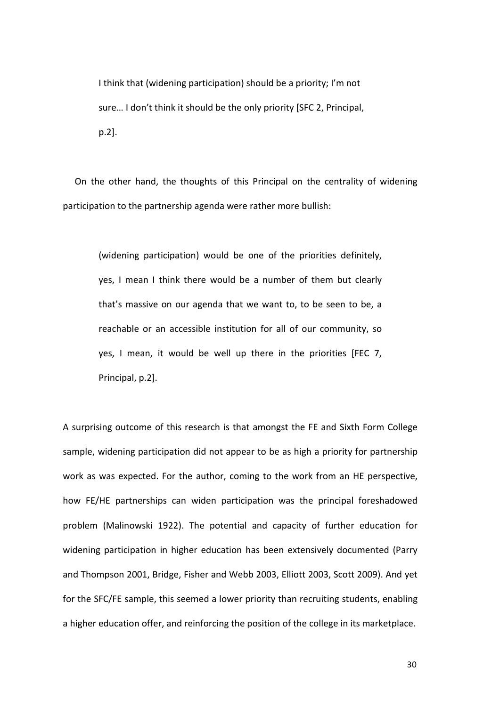I think that (widening participation) should be a priority; I'm not sure… I don't think it should be the only priority [SFC 2, Principal, p.2].

On the other hand, the thoughts of this Principal on the centrality of widening participation to the partnership agenda were rather more bullish:

(widening participation) would be one of the priorities definitely, yes, I mean I think there would be a number of them but clearly that's massive on our agenda that we want to, to be seen to be, a reachable or an accessible institution for all of our community, so yes, I mean, it would be well up there in the priorities [FEC 7, Principal, p.2].

A surprising outcome of this research is that amongst the FE and Sixth Form College sample, widening participation did not appear to be as high a priority for partnership work as was expected. For the author, coming to the work from an HE perspective, how FE/HE partnerships can widen participation was the principal foreshadowed problem (Malinowski 1922). The potential and capacity of further education for widening participation in higher education has been extensively documented (Parry and Thompson 2001, Bridge, Fisher and Webb 2003, Elliott 2003, Scott 2009). And yet for the SFC/FE sample, this seemed a lower priority than recruiting students, enabling a higher education offer, and reinforcing the position of the college in its marketplace.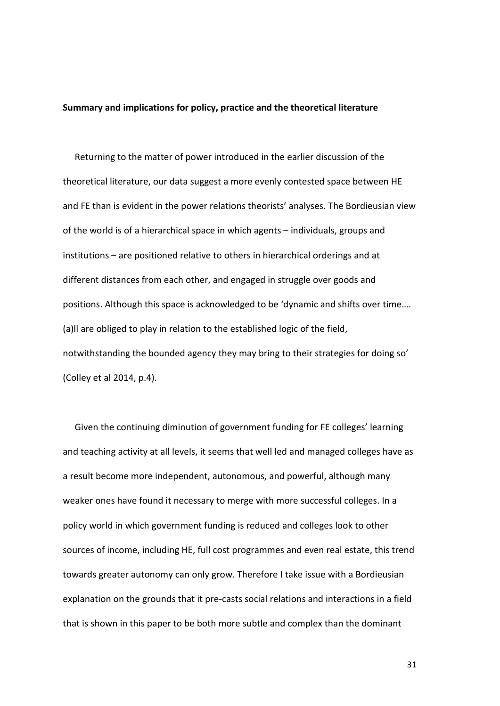#### **Summary and implications for policy, practice and the theoretical literature**

Returning to the matter of power introduced in the earlier discussion of the theoretical literature, our data suggest a more evenly contested space between HE and FE than is evident in the power relations theorists' analyses. The Bordieusian view of the world is of a hierarchical space in which agents – individuals, groups and institutions – are positioned relative to others in hierarchical orderings and at different distances from each other, and engaged in struggle over goods and positions. Although this space is acknowledged to be 'dynamic and shifts over time…. (a)ll are obliged to play in relation to the established logic of the field, notwithstanding the bounded agency they may bring to their strategies for doing so' (Colley et al 2014, p.4).

Given the continuing diminution of government funding for FE colleges' learning and teaching activity at all levels, it seems that well led and managed colleges have as a result become more independent, autonomous, and powerful, although many weaker ones have found it necessary to merge with more successful colleges. In a policy world in which government funding is reduced and colleges look to other sources of income, including HE, full cost programmes and even real estate, this trend towards greater autonomy can only grow. Therefore I take issue with a Bordieusian explanation on the grounds that it pre-casts social relations and interactions in a field that is shown in this paper to be both more subtle and complex than the dominant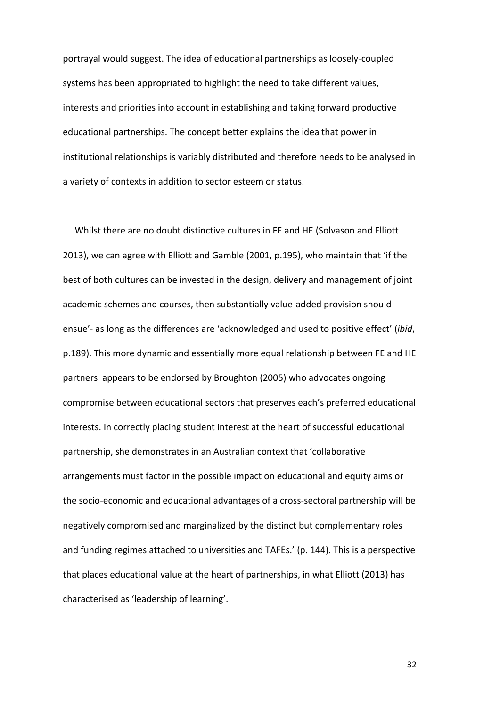portrayal would suggest. The idea of educational partnerships as loosely-coupled systems has been appropriated to highlight the need to take different values, interests and priorities into account in establishing and taking forward productive educational partnerships. The concept better explains the idea that power in institutional relationships is variably distributed and therefore needs to be analysed in a variety of contexts in addition to sector esteem or status.

Whilst there are no doubt distinctive cultures in FE and HE (Solvason and Elliott 2013), we can agree with Elliott and Gamble (2001, p.195), who maintain that 'if the best of both cultures can be invested in the design, delivery and management of joint academic schemes and courses, then substantially value-added provision should ensue'- as long as the differences are 'acknowledged and used to positive effect' (*ibid*, p.189). This more dynamic and essentially more equal relationship between FE and HE partners appears to be endorsed by Broughton (2005) who advocates ongoing compromise between educational sectors that preserves each's preferred educational interests. In correctly placing student interest at the heart of successful educational partnership, she demonstrates in an Australian context that 'collaborative arrangements must factor in the possible impact on educational and equity aims or the socio-economic and educational advantages of a cross-sectoral partnership will be negatively compromised and marginalized by the distinct but complementary roles and funding regimes attached to universities and TAFEs.' (p. 144). This is a perspective that places educational value at the heart of partnerships, in what Elliott (2013) has characterised as 'leadership of learning'.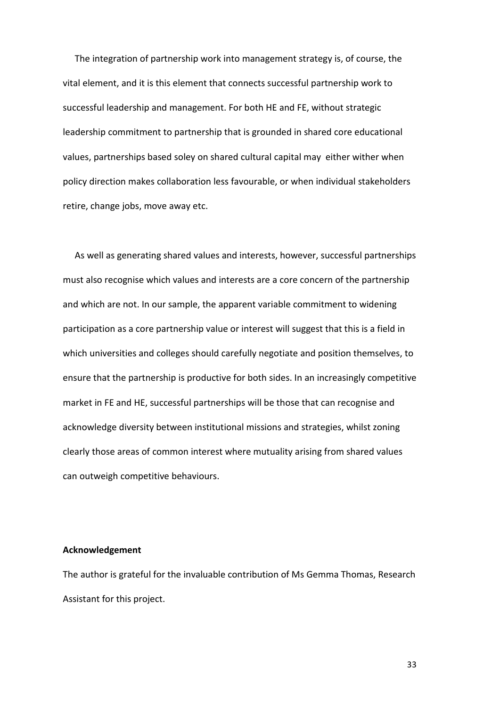The integration of partnership work into management strategy is, of course, the vital element, and it is this element that connects successful partnership work to successful leadership and management. For both HE and FE, without strategic leadership commitment to partnership that is grounded in shared core educational values, partnerships based soley on shared cultural capital may either wither when policy direction makes collaboration less favourable, or when individual stakeholders retire, change jobs, move away etc.

As well as generating shared values and interests, however, successful partnerships must also recognise which values and interests are a core concern of the partnership and which are not. In our sample, the apparent variable commitment to widening participation as a core partnership value or interest will suggest that this is a field in which universities and colleges should carefully negotiate and position themselves, to ensure that the partnership is productive for both sides. In an increasingly competitive market in FE and HE, successful partnerships will be those that can recognise and acknowledge diversity between institutional missions and strategies, whilst zoning clearly those areas of common interest where mutuality arising from shared values can outweigh competitive behaviours.

#### **Acknowledgement**

The author is grateful for the invaluable contribution of Ms Gemma Thomas, Research Assistant for this project.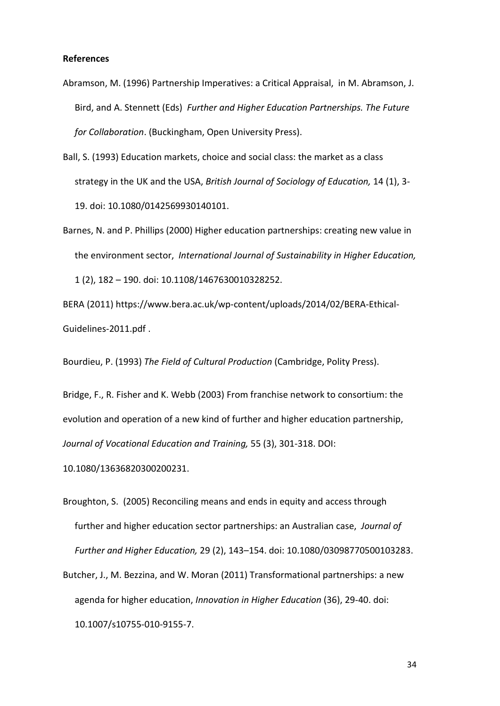## **References**

- Abramson, M. (1996) Partnership Imperatives: a Critical Appraisal, in M. Abramson, J. Bird, and A. Stennett (Eds) *Further and Higher Education Partnerships. The Future for Collaboration*. (Buckingham, Open University Press).
- Ball, S. (1993) Education markets, choice and social class: the market as a class strategy in the UK and the USA, *British Journal of Sociology of Education,* 14 (1), 3- 19. doi: 10.1080/0142569930140101.
- Barnes, N. and P. Phillips (2000) Higher education partnerships: creating new value in the environment sector, *International Journal of Sustainability in Higher Education,* 1 (2), 182 – 190. doi: [10.1108/1467630010328252.](http://dx.doi.org/10.1108/1467630010328252)

BERA (2011[\) https://www.bera.ac.uk/wp-content/uploads/2014/02/BERA-Ethical-](https://www.bera.ac.uk/wp-content/uploads/2014/02/BERA-Ethical-Guidelines-2011.pdf)[Guidelines-2011.pdf](https://www.bera.ac.uk/wp-content/uploads/2014/02/BERA-Ethical-Guidelines-2011.pdf) .

Bourdieu, P. (1993) *The Field of Cultural Production* (Cambridge, Polity Press).

Bridge, F., R. Fisher and K. Webb (2003) From franchise network to consortium: the evolution and operation of a new kind of further and higher education partnership, *Journal of Vocational Education and Training,* 55 (3), 301-318. DOI:

10.1080/13636820300200231.

- Broughton, S. (2005) Reconciling means and ends in equity and access through further and higher education sector partnerships: an Australian case, *Journal of Further and Higher Education,* 29 (2), 143–154. doi: 10.1080/03098770500103283.
- Butcher, J., M. Bezzina, and W. Moran (2011) Transformational partnerships: a new agenda for higher education, *Innovation in Higher Education* (36), 29-40. doi: 10.1007/s10755-010-9155-7.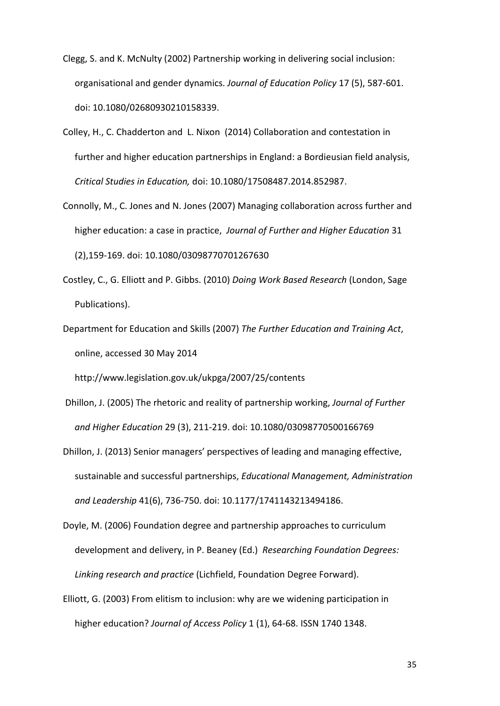- Clegg, S. and K. McNulty (2002) Partnership working in delivering social inclusion: organisational and gender dynamics. *Journal of Education Policy* 17 (5), 587-601. doi: 10.1080/02680930210158339.
- Colley, H., C. Chadderton and L. Nixon (2014) Collaboration and contestation in further and higher education partnerships in England: a Bordieusian field analysis, *Critical Studies in Education,* doi: 10.1080/17508487.2014.852987.
- Connolly, M., C. Jones and N. Jones (2007) Managing collaboration across further and higher education: a case in practice, *Journal of Further and Higher Education* 31 (2),159-169. doi: 10.1080/03098770701267630
- Costley, C., G. Elliott and P. Gibbs. (2010) *Doing Work Based Research* (London, Sage Publications).
- Department for Education and Skills (2007) *The Further Education and Training Act*, online, accessed 30 May 2014

<http://www.legislation.gov.uk/ukpga/2007/25/contents>

- Dhillon, J. (2005) The rhetoric and reality of partnership working, *Journal of Further and Higher Education* 29 (3), 211-219. doi: 10.1080/03098770500166769
- Dhillon, J. (2013) Senior managers' perspectives of leading and managing effective, sustainable and successful partnerships, *Educational Management, Administration and Leadership* 41(6), 736-750. doi: 10.1177/1741143213494186.
- Doyle, M. (2006) Foundation degree and partnership approaches to curriculum development and delivery, in P. Beaney (Ed.) *Researching Foundation Degrees: Linking research and practice* (Lichfield, Foundation Degree Forward).
- Elliott, G. (2003) From elitism to inclusion: why are we widening participation in higher education? *Journal of Access Policy* 1 (1), 64-68. ISSN 1740 1348.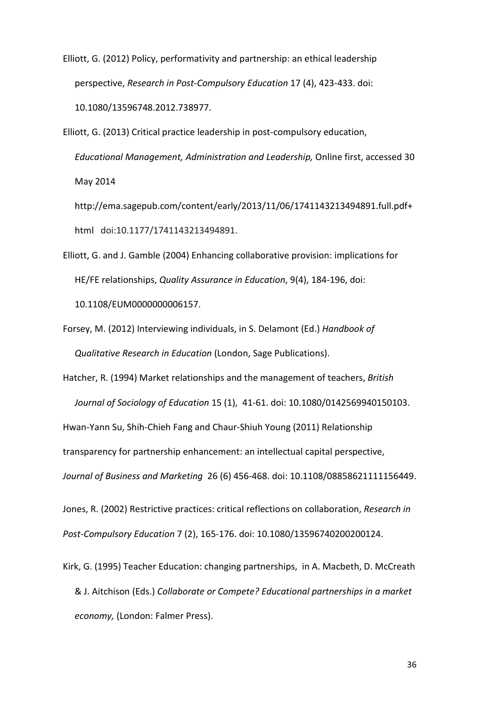Elliott, G. (2012) Policy, performativity and partnership: an ethical leadership perspective, *Research in Post-Compulsory Education* 17 (4), 423-433. doi: 10.1080/13596748.2012.738977.

Elliott, G. (2013) Critical practice leadership in post-compulsory education, *Educational Management, Administration and Leadership,* Online first, accessed 30 May 2014

[http://ema.sagepub.com/content/early/2013/11/06/1741143213494891.full.pdf+](http://ema.sagepub.com/content/early/2013/11/06/1741143213494891.full.pdf+html) [html](http://ema.sagepub.com/content/early/2013/11/06/1741143213494891.full.pdf+html)doi:10.1177/1741143213494891.

- Elliott, G. and J. Gamble (2004) Enhancing collaborative provision: implications for HE/FE relationships, *Quality Assurance in Education*, 9(4), 184-196, doi: [10.1108/EUM0000000006157.](http://dx.doi.org/10.1108/EUM0000000006157)
- Forsey, M. (2012) Interviewing individuals, in S. Delamont (Ed.) *Handbook of Qualitative Research in Education* (London, Sage Publications).

Hatcher, R. (1994) Market relationships and the management of teachers, *British Journal of Sociology of Education* 15 (1), 41-61. doi: 10.1080/0142569940150103. Hwan-Yann Su, Shih-Chieh Fang and Chaur-Shiuh Young (2011) Relationship transparency for partnership enhancement: an intellectual capital perspective, *Journal of Business and Marketing* 26 (6) 456-468. doi: 10.1108/08858621111156449.

Jones, R. (2002) Restrictive practices: critical reflections on collaboration, *Research in Post-Compulsory Education* 7 (2), 165-176. doi: 10.1080/13596740200200124.

Kirk, G. (1995) Teacher Education: changing partnerships, in A. Macbeth, D. McCreath & J. Aitchison (Eds.) *Collaborate or Compete? Educational partnerships in a market economy,* (London: Falmer Press).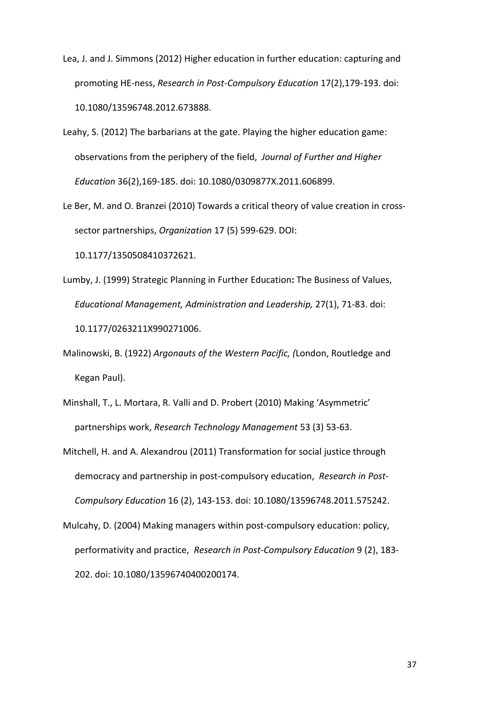- Lea, J. and J. Simmons (2012) Higher education in further education: capturing and promoting HE-ness, *Research in Post-Compulsory Education* 17(2),179-193. doi: 10.1080/13596748.2012.673888.
- Leahy, S. (2012) The barbarians at the gate. Playing the higher education game: observations from the periphery of the field, *Journal of Further and Higher Education* 36(2),169-185. doi: 10.1080/0309877X.2011.606899.
- Le Ber, M. and O. Branzei (2010) Towards a critical theory of value creation in crosssector partnerships, *Organization* 17 (5) 599-629. DOI:

10.1177/1350508410372621.

- Lumby, J. (1999) Strategic Planning in Further Education**:** The Business of Values, *Educational Management, Administration and Leadership,* 27(1), 71-83. doi: 10.1177/0263211X990271006.
- Malinowski, B. (1922) *Argonauts of the Western Pacific, (*London, Routledge and Kegan Paul).
- Minshall, T., L. Mortara, R. Valli and D. Probert (2010) Making 'Asymmetric' partnerships work, *Research Technology Management* 53 (3) 53-63.
- Mitchell, H. and A. Alexandrou (2011) Transformation for social justice through democracy and partnership in post-compulsory education, *Research in Post-Compulsory Education* 16 (2), 143-153. doi: 10.1080/13596748.2011.575242.
- Mulcahy, D. (2004) Making managers within post-compulsory education: policy, performativity and practice, *Research in Post-Compulsory Education* 9 (2), 183- 202. doi: 10.1080/13596740400200174.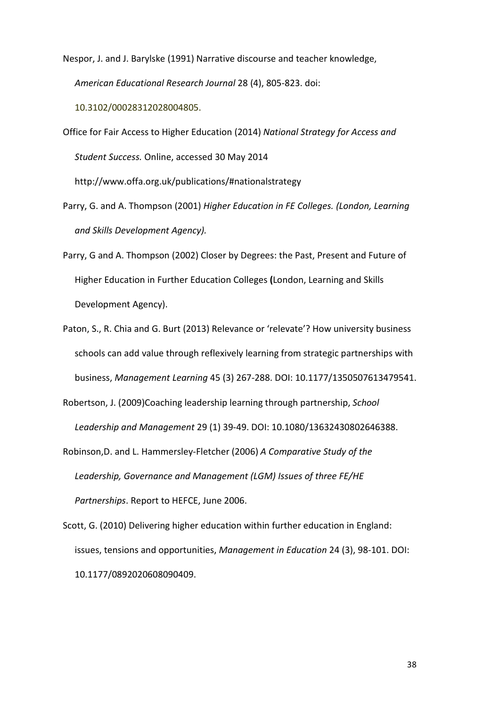Nespor, J. and J. Barylske (1991) Narrative discourse and teacher knowledge, *American Educational Research Journal* 28 (4), 805-823. doi:

10.3102/00028312028004805.

Office for Fair Access to Higher Education (2014) *National Strategy for Access and Student Success.* Online, accessed 30 May 2014

<http://www.offa.org.uk/publications/#nationalstrategy>

- Parry, G. and A. Thompson (2001) *Higher Education in FE Colleges. (London, Learning and Skills Development Agency).*
- Parry, G and A. Thompson (2002) Closer by Degrees: the Past, Present and Future of Higher Education in Further Education Colleges **(**London, Learning and Skills Development Agency).
- Paton, S., R. Chia and G. Burt (2013) Relevance or 'relevate'? How university business schools can add value through reflexively learning from strategic partnerships with business, *Management Learning* 45 (3) 267-288. DOI: 10.1177/1350507613479541.
- Robertson, J. (2009)Coaching leadership learning through partnership, *School Leadership and Management* 29 (1) 39-49. DOI: 10.1080/13632430802646388.
- Robinson,D. and L. Hammersley-Fletcher (2006) *A Comparative Study of the Leadership, Governance and Management (LGM) Issues of three FE/HE Partnerships*. Report to HEFCE, June 2006.
- Scott, G. (2010) Delivering higher education within further education in England: issues, tensions and opportunities, *Management in Education* 24 (3), 98-101. DOI: 10.1177/0892020608090409.